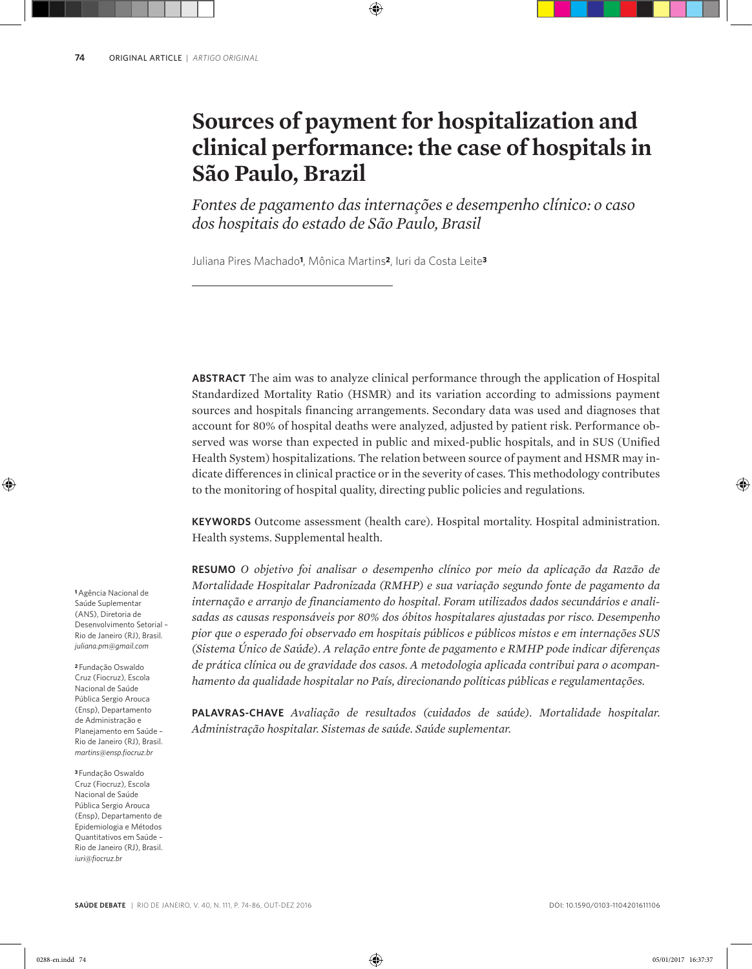# **Sources of payment for hospitalization and clinical performance: the case of hospitals in São Paulo, Brazil**

*Fontes de pagamento das internações e desempenho clínico: o caso dos hospitais do estado de São Paulo, Brasil* 

Juliana Pires Machado**1**, Mônica Martins**2**, Iuri da Costa Leite**<sup>3</sup>**

**ABSTRACT** The aim was to analyze clinical performance through the application of Hospital Standardized Mortality Ratio (HSMR) and its variation according to admissions payment sources and hospitals financing arrangements. Secondary data was used and diagnoses that account for 80% of hospital deaths were analyzed, adjusted by patient risk. Performance observed was worse than expected in public and mixed-public hospitals, and in SUS (Unified Health System) hospitalizations. The relation between source of payment and HSMR may indicate differences in clinical practice or in the severity of cases. This methodology contributes to the monitoring of hospital quality, directing public policies and regulations.

**KEYWORDS** Outcome assessment (health care). Hospital mortality. Hospital administration. Health systems. Supplemental health.

**RESUMO** *O objetivo foi analisar o desempenho clínico por meio da aplicação da Razão de Mortalidade Hospitalar Padronizada (RMHP) e sua variação segundo fonte de pagamento da internação e arranjo de financiamento do hospital. Foram utilizados dados secundários e analisadas as causas responsáveis por 80% dos óbitos hospitalares ajustadas por risco. Desempenho pior que o esperado foi observado em hospitais públicos e públicos mistos e em internações SUS (Sistema Único de Saúde). A relação entre fonte de pagamento e RMHP pode indicar diferenças de prática clínica ou de gravidade dos casos. A metodologia aplicada contribui para o acompanhamento da qualidade hospitalar no País, direcionando políticas públicas e regulamentações.* 

**PALAVRAS-CHAVE** *Avaliação de resultados (cuidados de saúde). Mortalidade hospitalar. Administração hospitalar. Sistemas de saúde. Saúde suplementar.*

**<sup>1</sup>**Agência Nacional de Saúde Suplementar (ANS), Diretoria de Desenvolvimento Setorial – Rio de Janeiro (RJ), Brasil. *juliana.pm@gmail.com*

**<sup>2</sup>**Fundação Oswaldo Cruz (Fiocruz), Escola Nacional de Saúde Pública Sergio Arouca (Ensp), Departamento de Administração e Planejamento em Saúde – Rio de Janeiro (RJ), Brasil. *martins@ensp.fiocruz.br*

**<sup>3</sup>**Fundação Oswaldo Cruz (Fiocruz), Escola Nacional de Saúde Pública Sergio Arouca (Ensp), Departamento de Epidemiologia e Métodos Quantitativos em Saúde – Rio de Janeiro (RJ), Brasil. *iuri@fiocruz.br*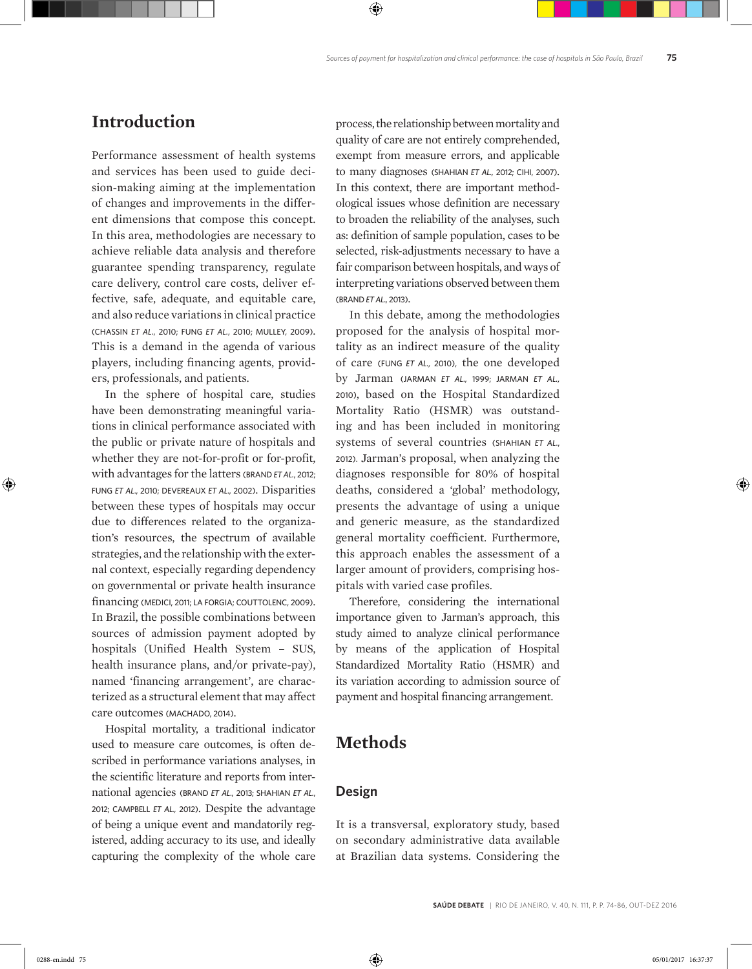### **Introduction**

Performance assessment of health systems and services has been used to guide decision-making aiming at the implementation of changes and improvements in the different dimensions that compose this concept. In this area, methodologies are necessary to achieve reliable data analysis and therefore guarantee spending transparency, regulate care delivery, control care costs, deliver effective, safe, adequate, and equitable care, and also reduce variations in clinical practice (CHASSIN *et al*., 2010; FUNG *et al.*, 2010; MULLEY, 2009). This is a demand in the agenda of various players, including financing agents, providers, professionals, and patients.

In the sphere of hospital care, studies have been demonstrating meaningful variations in clinical performance associated with the public or private nature of hospitals and whether they are not-for-profit or for-profit, with advantages for the latters (BRAND *et al.*, 2012; FUNG *et al*., 2010; DEVEREAUX *et al*., 2002). Disparities between these types of hospitals may occur due to differences related to the organization's resources, the spectrum of available strategies, and the relationship with the external context, especially regarding dependency on governmental or private health insurance financing (MEDICI, 2011; LA FORGIA; COUTTOLENC, 2009). In Brazil, the possible combinations between sources of admission payment adopted by hospitals (Unified Health System – SUS, health insurance plans, and/or private-pay), named 'financing arrangement', are characterized as a structural element that may affect care outcomes (MACHADO, 2014).

Hospital mortality, a traditional indicator used to measure care outcomes, is often described in performance variations analyses, in the scientific literature and reports from international agencies (BRAND *et al*., 2013; SHAHIAN *et al.*, 2012; CAMPBELL *et al.,* 2012). Despite the advantage of being a unique event and mandatorily registered, adding accuracy to its use, and ideally capturing the complexity of the whole care process, the relationship between mortality and quality of care are not entirely comprehended, exempt from measure errors, and applicable to many diagnoses (SHAHIAN *et al.,* 2012; CIHI, 2007). In this context, there are important methodological issues whose definition are necessary to broaden the reliability of the analyses, such as: definition of sample population, cases to be selected, risk-adjustments necessary to have a fair comparison between hospitals, and ways of interpreting variations observed between them (BRAND *et al*., 2013).

In this debate, among the methodologies proposed for the analysis of hospital mortality as an indirect measure of the quality of care (FUNG *et al.,* 2010), the one developed by Jarman (JARMAN *et al.,* 1999; JARMAN *et al.,* 2010), based on the Hospital Standardized Mortality Ratio (HSMR) was outstanding and has been included in monitoring systems of several countries (SHAHIAN *et al*., 2012). Jarman's proposal, when analyzing the diagnoses responsible for 80% of hospital deaths, considered a 'global' methodology, presents the advantage of using a unique and generic measure, as the standardized general mortality coefficient. Furthermore, this approach enables the assessment of a larger amount of providers, comprising hospitals with varied case profiles.

Therefore, considering the international importance given to Jarman's approach, this study aimed to analyze clinical performance by means of the application of Hospital Standardized Mortality Ratio (HSMR) and its variation according to admission source of payment and hospital financing arrangement.

# **Methods**

#### **Design**

It is a transversal, exploratory study, based on secondary administrative data available at Brazilian data systems. Considering the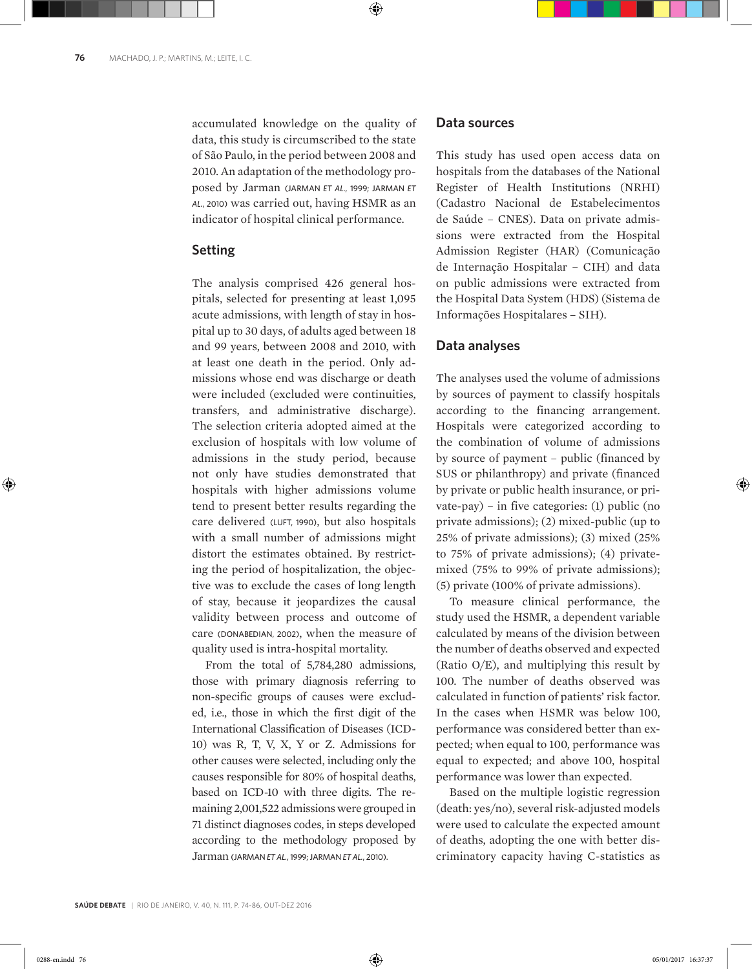accumulated knowledge on the quality of data, this study is circumscribed to the state of São Paulo, in the period between 2008 and 2010. An adaptation of the methodology proposed by Jarman (JARMAN *et al.*, 1999; JARMAN *et al.*, 2010) was carried out, having HSMR as an indicator of hospital clinical performance.

### **Setting**

The analysis comprised 426 general hospitals, selected for presenting at least 1,095 acute admissions, with length of stay in hospital up to 30 days, of adults aged between 18 and 99 years, between 2008 and 2010, with at least one death in the period. Only admissions whose end was discharge or death were included (excluded were continuities, transfers, and administrative discharge). The selection criteria adopted aimed at the exclusion of hospitals with low volume of admissions in the study period, because not only have studies demonstrated that hospitals with higher admissions volume tend to present better results regarding the care delivered (LUFT, 1990), but also hospitals with a small number of admissions might distort the estimates obtained. By restricting the period of hospitalization, the objective was to exclude the cases of long length of stay, because it jeopardizes the causal validity between process and outcome of care (DONABEDIAN, 2002), when the measure of quality used is intra-hospital mortality.

From the total of 5,784,280 admissions, those with primary diagnosis referring to non-specific groups of causes were excluded, i.e., those in which the first digit of the International Classification of Diseases (ICD-10) was R, T, V, X, Y or Z. Admissions for other causes were selected, including only the causes responsible for 80% of hospital deaths, based on ICD-10 with three digits. The remaining 2,001,522 admissions were grouped in 71 distinct diagnoses codes, in steps developed according to the methodology proposed by Jarman (JARMAN *et al.*, 1999; JARMAN *et al.*, 2010).

### **Data sources**

This study has used open access data on hospitals from the databases of the National Register of Health Institutions (NRHI) (Cadastro Nacional de Estabelecimentos de Saúde – CNES). Data on private admissions were extracted from the Hospital Admission Register (HAR) (Comunicação de Internação Hospitalar – CIH) and data on public admissions were extracted from the Hospital Data System (HDS) (Sistema de Informações Hospitalares – SIH).

#### **Data analyses**

The analyses used the volume of admissions by sources of payment to classify hospitals according to the financing arrangement. Hospitals were categorized according to the combination of volume of admissions by source of payment – public (financed by SUS or philanthropy) and private (financed by private or public health insurance, or private-pay) – in five categories: (1) public (no private admissions); (2) mixed-public (up to 25% of private admissions); (3) mixed (25% to 75% of private admissions); (4) privatemixed (75% to 99% of private admissions); (5) private (100% of private admissions).

To measure clinical performance, the study used the HSMR, a dependent variable calculated by means of the division between the number of deaths observed and expected (Ratio O/E), and multiplying this result by 100. The number of deaths observed was calculated in function of patients' risk factor. In the cases when HSMR was below 100, performance was considered better than expected; when equal to 100, performance was equal to expected; and above 100, hospital performance was lower than expected.

Based on the multiple logistic regression (death: yes/no), several risk-adjusted models were used to calculate the expected amount of deaths, adopting the one with better discriminatory capacity having C-statistics as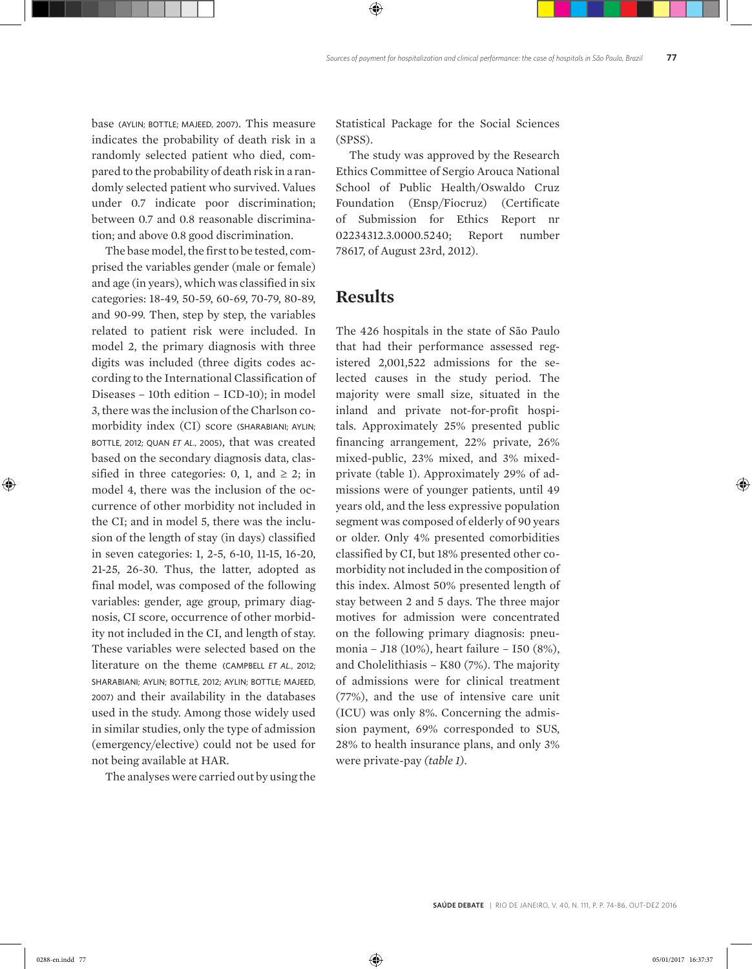base (AYLIN; BOTTLE; MAJEED, 2007). This measure indicates the probability of death risk in a randomly selected patient who died, compared to the probability of death risk in a randomly selected patient who survived. Values under 0.7 indicate poor discrimination; between 0.7 and 0.8 reasonable discrimination; and above 0.8 good discrimination.

The base model, the first to be tested, comprised the variables gender (male or female) and age (in years), which was classified in six categories: 18-49, 50-59, 60-69, 70-79, 80-89, and 90-99. Then, step by step, the variables related to patient risk were included. In model 2, the primary diagnosis with three digits was included (three digits codes according to the International Classification of Diseases – 10th edition – ICD-10); in model 3, there was the inclusion of the Charlson comorbidity index (CI) score (SHARABIANI; AYLIN; BOTTLE, 2012; QUAN *et al*., 2005), that was created based on the secondary diagnosis data, classified in three categories: 0, 1, and  $\geq$  2; in model 4, there was the inclusion of the occurrence of other morbidity not included in the CI; and in model 5, there was the inclusion of the length of stay (in days) classified in seven categories: 1, 2-5, 6-10, 11-15, 16-20, 21-25, 26-30. Thus, the latter, adopted as final model, was composed of the following variables: gender, age group, primary diagnosis, CI score, occurrence of other morbidity not included in the CI, and length of stay. These variables were selected based on the literature on the theme (CAMPBELL *et al.*, 2012; SHARABIANI; AYLIN; BOTTLE, 2012; AYLIN; BOTTLE; MAJEED, 2007) and their availability in the databases used in the study. Among those widely used in similar studies, only the type of admission (emergency/elective) could not be used for not being available at HAR.

The analyses were carried out by using the

Statistical Package for the Social Sciences (SPSS).

The study was approved by the Research Ethics Committee of Sergio Arouca National School of Public Health/Oswaldo Cruz Foundation (Ensp/Fiocruz) (Certificate of Submission for Ethics Report nr 02234312.3.0000.5240; Report number 78617, of August 23rd, 2012).

### **Results**

The 426 hospitals in the state of São Paulo that had their performance assessed registered 2,001,522 admissions for the selected causes in the study period. The majority were small size, situated in the inland and private not-for-profit hospitals. Approximately 25% presented public financing arrangement, 22% private, 26% mixed-public, 23% mixed, and 3% mixedprivate (table 1). Approximately 29% of admissions were of younger patients, until 49 years old, and the less expressive population segment was composed of elderly of 90 years or older. Only 4% presented comorbidities classified by CI, but 18% presented other comorbidity not included in the composition of this index. Almost 50% presented length of stay between 2 and 5 days. The three major motives for admission were concentrated on the following primary diagnosis: pneumonia – J18 (10%), heart failure – I50 (8%), and Cholelithiasis – K80 (7%). The majority of admissions were for clinical treatment (77%), and the use of intensive care unit (ICU) was only 8%. Concerning the admission payment, 69% corresponded to SUS, 28% to health insurance plans, and only 3% were private-pay *(table 1).*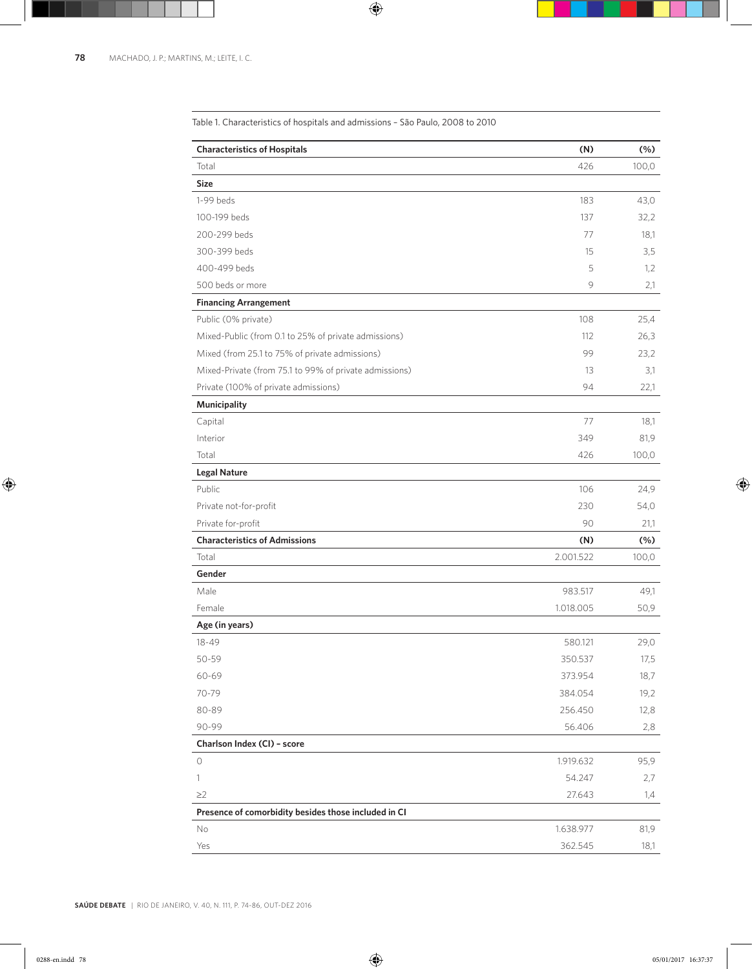Table 1. Characteristics of hospitals and admissions – São Paulo, 2008 to 2010

| <b>Characteristics of Hospitals</b>                    | (N)       | (% )       |
|--------------------------------------------------------|-----------|------------|
| Total                                                  | 426       | 100,0      |
| <b>Size</b>                                            |           |            |
| 1-99 beds                                              | 183       | 43,0       |
| 100-199 beds                                           | 137       | 32,2       |
| 200-299 beds                                           | 77        | 18,1       |
| 300-399 beds                                           | 15        | 3,5<br>1,2 |
| 400-499 beds                                           | 5         |            |
| 500 beds or more                                       | 9         | 2,1        |
| <b>Financing Arrangement</b>                           |           |            |
| Public (0% private)                                    | 108       | 25,4       |
| Mixed-Public (from 0.1 to 25% of private admissions)   | 112       | 26,3       |
| Mixed (from 25.1 to 75% of private admissions)         | 99        | 23,2       |
| Mixed-Private (from 75.1 to 99% of private admissions) | 13        | 3,1        |
| Private (100% of private admissions)                   | 94        | 22,1       |
| Municipality                                           |           |            |
| Capital                                                | 77        | 18,1       |
| Interior                                               | 349       | 81,9       |
| Total                                                  | 426       | 100,0      |
| <b>Legal Nature</b>                                    |           |            |
| Public                                                 | 106       | 24,9       |
| Private not-for-profit                                 | 230       | 54,0       |
| Private for-profit                                     | 90        | 21,1       |
| <b>Characteristics of Admissions</b>                   | (N)       | (% )       |
| Total                                                  | 2.001.522 | 100,0      |
| Gender                                                 |           |            |
| Male                                                   | 983.517   | 49,1       |
| Female                                                 | 1.018.005 | 50,9       |
| Age (in years)                                         |           |            |
| $18 - 49$                                              | 580.121   | 29,0       |
| 50-59                                                  | 350.537   | 17,5       |
| 60-69                                                  | 373.954   | 18,7       |
| 70-79                                                  | 384.054   | 19,2       |
| 80-89                                                  | 256.450   | 12,8       |
| 90-99                                                  | 56.406    | 2,8        |
| Charlson Index (CI) - score                            |           |            |
| $\circlearrowright$                                    | 1.919.632 | 95,9       |
| 1                                                      | 54.247    | 2,7        |
| $\geq$ 2                                               | 27.643    | 1,4        |
| Presence of comorbidity besides those included in CI   |           |            |
| No                                                     | 1.638.977 | 81,9       |
| Yes                                                    | 362.545   | 18,1       |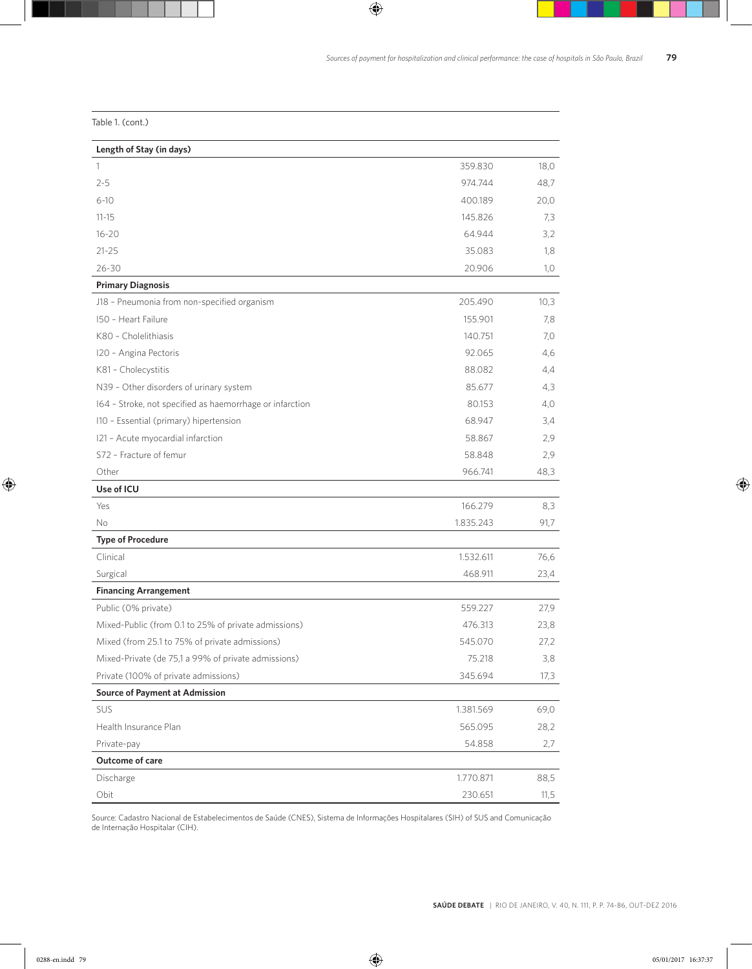Table 1. (cont.)

| Length of Stay (in days)                                 |           |      |
|----------------------------------------------------------|-----------|------|
| 1                                                        | 359.830   | 18,0 |
| $2 - 5$                                                  | 974.744   | 48,7 |
| $6 - 10$                                                 | 400.189   | 20,0 |
| $11 - 15$                                                | 145.826   | 7,3  |
| $16 - 20$                                                | 64.944    | 3,2  |
| $21 - 25$                                                | 35.083    | 1,8  |
| $26 - 30$                                                | 20.906    | 1,0  |
| <b>Primary Diagnosis</b>                                 |           |      |
| J18 - Pneumonia from non-specified organism              | 205.490   | 10,3 |
| 150 - Heart Failure                                      | 155.901   | 7,8  |
| K80 - Cholelithiasis                                     | 140.751   | 7,0  |
| 120 - Angina Pectoris                                    | 92.065    | 4,6  |
| K81 - Cholecystitis                                      | 88.082    | 4,4  |
| N39 - Other disorders of urinary system                  | 85.677    | 4,3  |
| 164 - Stroke, not specified as haemorrhage or infarction | 80.153    | 4,0  |
| I10 - Essential (primary) hipertension                   | 68.947    | 3,4  |
| 121 - Acute myocardial infarction                        | 58.867    | 2,9  |
| S72 - Fracture of femur                                  | 58.848    | 2,9  |
| Other                                                    | 966.741   | 48,3 |
| Use of ICU                                               |           |      |
| Yes                                                      | 166.279   | 8,3  |
| No                                                       | 1.835.243 | 91,7 |
| <b>Type of Procedure</b>                                 |           |      |
| Clinical                                                 | 1.532.611 | 76,6 |
| Surgical                                                 | 468.911   | 23,4 |
| <b>Financing Arrangement</b>                             |           |      |
| Public (0% private)                                      | 559.227   | 27,9 |
| Mixed-Public (from 0.1 to 25% of private admissions)     | 476.313   | 23,8 |
| Mixed (from 25.1 to 75% of private admissions)           | 545.070   | 27,2 |
| Mixed-Private (de 75,1 a 99% of private admissions)      | 75.218    | 3,8  |
| Private (100% of private admissions)                     | 345.694   | 17,3 |
| <b>Source of Payment at Admission</b>                    |           |      |
| SUS                                                      | 1.381.569 | 69,0 |
| Health Insurance Plan                                    | 565.095   | 28,2 |
| Private-pay                                              | 54.858    | 2,7  |
| Outcome of care                                          |           |      |
| Discharge                                                | 1.770.871 | 88,5 |
| Obit                                                     | 230.651   | 11,5 |

Source: Cadastro Nacional de Estabelecimentos de Saúde (CNES), Sistema de Informações Hospitalares (SIH) of SUS and Comunicação de Internação Hospitalar (CIH).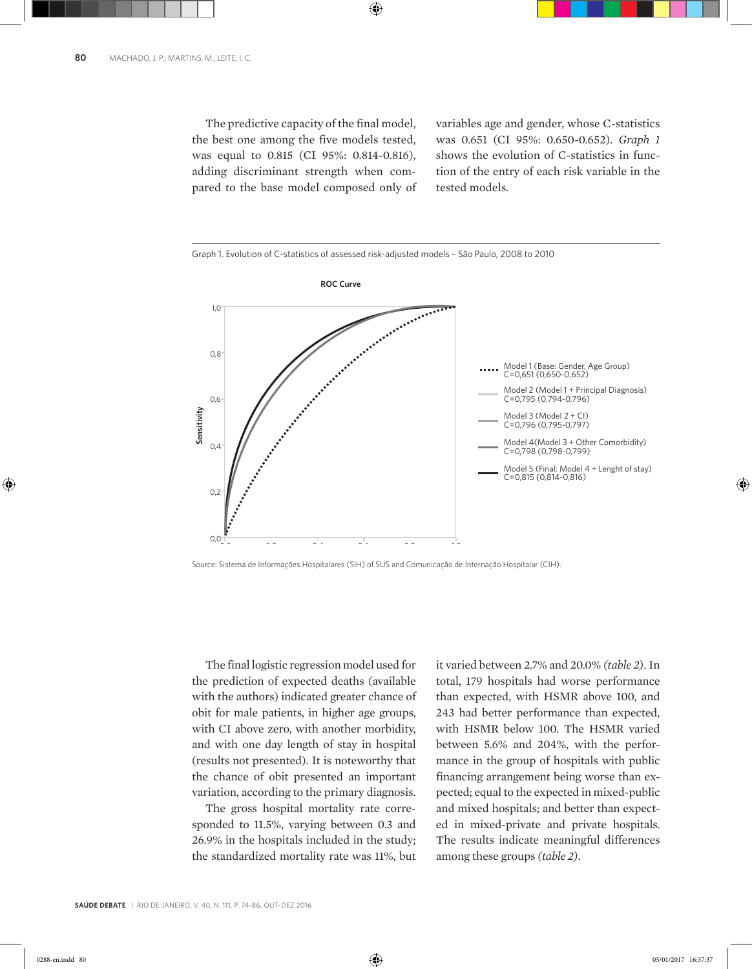The predictive capacity of the final model, the best one among the five models tested, was equal to 0.815 (CI 95%: 0.814-0.816), adding discriminant strength when compared to the base model composed only of variables age and gender, whose C-statistics was 0.651 (CI 95%: 0.650-0.652). *Graph 1*  shows the evolution of C-statistics in function of the entry of each risk variable in the tested models.



Source: Sistema de Informações Hospitalares (SIH) of SUS and Comunicação de Internação Hospitalar (CIH).

The final logistic regression model used for the prediction of expected deaths (available with the authors) indicated greater chance of obit for male patients, in higher age groups, with CI above zero, with another morbidity, and with one day length of stay in hospital (results not presented). It is noteworthy that the chance of obit presented an important variation, according to the primary diagnosis.

The gross hospital mortality rate corresponded to 11.5%, varying between 0.3 and 26.9% in the hospitals included in the study; the standardized mortality rate was 11%, but it varied between 2.7% and 20.0% *(table 2)*. In total, 179 hospitals had worse performance than expected, with HSMR above 100, and 243 had better performance than expected, with HSMR below 100. The HSMR varied between 5.6% and 204%, with the performance in the group of hospitals with public financing arrangement being worse than expected; equal to the expected in mixed-public and mixed hospitals; and better than expected in mixed-private and private hospitals. The results indicate meaningful differences among these groups *(table 2).*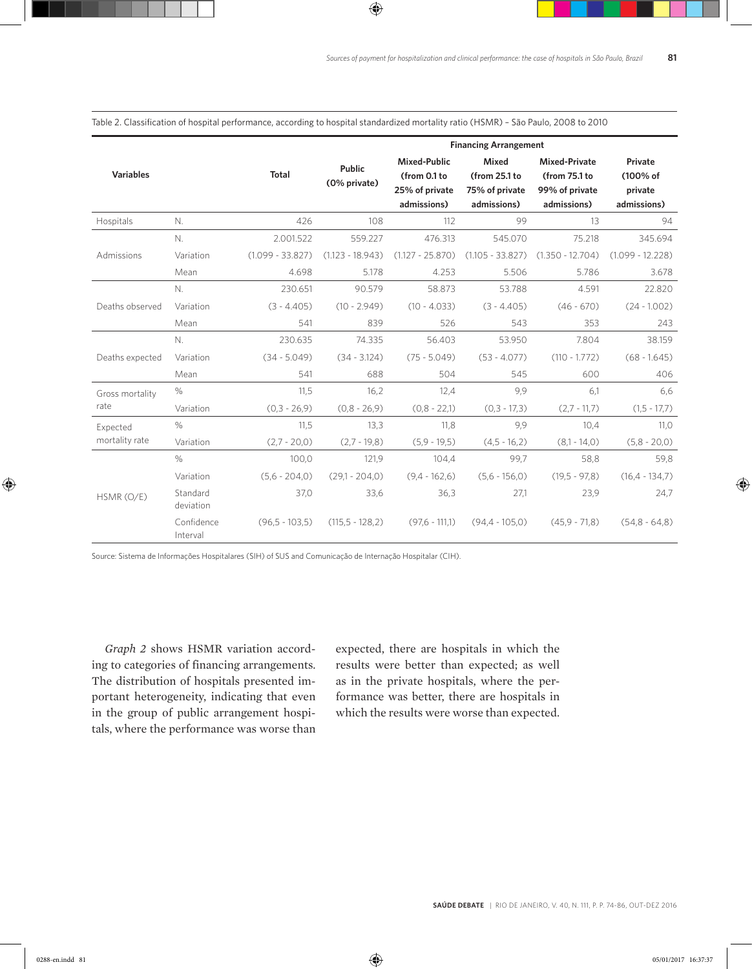|                            |                        | <b>Financing Arrangement</b> |                        |                                                                      |                                                                |                                                                        |                                               |
|----------------------------|------------------------|------------------------------|------------------------|----------------------------------------------------------------------|----------------------------------------------------------------|------------------------------------------------------------------------|-----------------------------------------------|
| <b>Variables</b>           |                        | <b>Total</b>                 | Public<br>(0% private) | <b>Mixed-Public</b><br>(from 0.1 to<br>25% of private<br>admissions) | <b>Mixed</b><br>(from 25.1 to<br>75% of private<br>admissions) | <b>Mixed-Private</b><br>(from 75.1 to<br>99% of private<br>admissions) | Private<br>(100% of<br>private<br>admissions) |
| Hospitals                  | N.                     | 426                          | 108                    | 112                                                                  | 99                                                             | 13                                                                     | 94                                            |
| Admissions                 | N.                     | 2.001.522                    | 559.227                | 476.313                                                              | 545.070                                                        | 75.218                                                                 | 345.694                                       |
|                            | Variation              | $(1.099 - 33.827)$           | $(1.123 - 18.943)$     | $(1.127 - 25.870)$                                                   | $(1.105 - 33.827)$                                             | $(1.350 - 12.704)$                                                     | $(1.099 - 12.228)$                            |
|                            | Mean                   | 4.698                        | 5.178                  | 4.253                                                                | 5.506                                                          | 5.786                                                                  | 3.678                                         |
| Deaths observed            | N.                     | 230.651                      | 90.579                 | 58.873                                                               | 53.788                                                         | 4.591                                                                  | 22.820                                        |
|                            | Variation              | $(3 - 4.405)$                | $(10 - 2.949)$         | $(10 - 4.033)$                                                       | $(3 - 4.405)$                                                  | $(46 - 670)$                                                           | $(24 - 1.002)$                                |
|                            | Mean                   | 541                          | 839                    | 526                                                                  | 543                                                            | 353                                                                    | 243                                           |
| Deaths expected            | N.                     | 230.635                      | 74.335                 | 56.403                                                               | 53.950                                                         | 7.804                                                                  | 38.159                                        |
|                            | Variation              | $(34 - 5.049)$               | $(34 - 3.124)$         | $(75 - 5.049)$                                                       | $(53 - 4.077)$                                                 | $(110 - 1.772)$                                                        | $(68 - 1.645)$                                |
|                            | Mean                   | 541                          | 688                    | 504                                                                  | 545                                                            | 600                                                                    | 406                                           |
| Gross mortality<br>rate    | $\%$                   | 11,5                         | 16,2                   | 12,4                                                                 | 9,9                                                            | 6,1                                                                    | 6,6                                           |
|                            | Variation              | $(0.3 - 26.9)$               | $(0,8 - 26,9)$         | $(0.8 - 22.1)$                                                       | $(0.3 - 17.3)$                                                 | $(2,7 - 11,7)$                                                         | $(1,5 - 17,7)$                                |
| Expected<br>mortality rate | $\%$                   | 11,5                         | 13,3                   | 11,8                                                                 | 9.9                                                            | 10.4                                                                   | 11,0                                          |
|                            | Variation              | $(2,7 - 20,0)$               | $(2.7 - 19.8)$         | $(5.9 - 19.5)$                                                       | $(4,5 - 16,2)$                                                 | $(8,1 - 14,0)$                                                         | $(5,8 - 20,0)$                                |
| HSMR (O/E)                 | $\%$                   | 100,0                        | 121,9                  | 104,4                                                                | 99.7                                                           | 58,8                                                                   | 59,8                                          |
|                            | Variation              | $(5,6 - 204,0)$              | $(29.1 - 204.0)$       | $(9,4 - 162,6)$                                                      | $(5.6 - 156.0)$                                                | $(19.5 - 97.8)$                                                        | $(16, 4 - 134, 7)$                            |
|                            | Standard<br>deviation  | 37,0                         | 33,6                   | 36,3                                                                 | 27,1                                                           | 23,9                                                                   | 24,7                                          |
|                            | Confidence<br>Interval | $(96.5 - 103.5)$             | $(115.5 - 128.2)$      | $(97.6 - 111.1)$                                                     | $(94,4 - 105,0)$                                               | $(45.9 - 71.8)$                                                        | $(54,8 - 64,8)$                               |

Table 2. Classification of hospital performance, according to hospital standardized mortality ratio (HSMR) – São Paulo, 2008 to 2010

Source: Sistema de Informações Hospitalares (SIH) of SUS and Comunicação de Internação Hospitalar (CIH).

*Graph 2* shows HSMR variation according to categories of financing arrangements. The distribution of hospitals presented important heterogeneity, indicating that even in the group of public arrangement hospitals, where the performance was worse than expected, there are hospitals in which the results were better than expected; as well as in the private hospitals, where the performance was better, there are hospitals in which the results were worse than expected.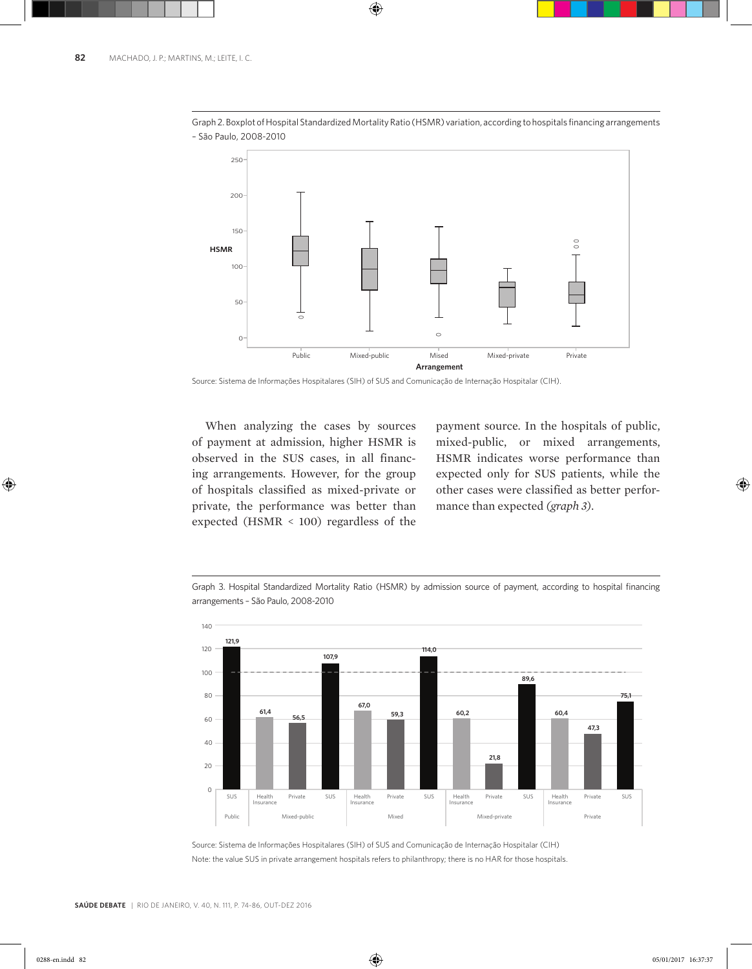

Graph 2. Boxplot of Hospital Standardized Mortality Ratio (HSMR) variation, according to hospitals financing arrangements – São Paulo, 2008-2010

Source: Sistema de Informações Hospitalares (SIH) of SUS and Comunicação de Internação Hospitalar (CIH).

When analyzing the cases by sources of payment at admission, higher HSMR is observed in the SUS cases, in all financing arrangements. However, for the group of hospitals classified as mixed-private or private, the performance was better than expected (HSMR < 100) regardless of the

payment source. In the hospitals of public, mixed-public, or mixed arrangements, HSMR indicates worse performance than expected only for SUS patients, while the other cases were classified as better performance than expected *(graph 3).*

Graph 3. Hospital Standardized Mortality Ratio (HSMR) by admission source of payment, according to hospital financing arrangements – São Paulo, 2008-2010



Source: Sistema de Informações Hospitalares (SIH) of SUS and Comunicação de Internação Hospitalar (CIH) Note: the value SUS in private arrangement hospitals refers to philanthropy; there is no HAR for those hospitals.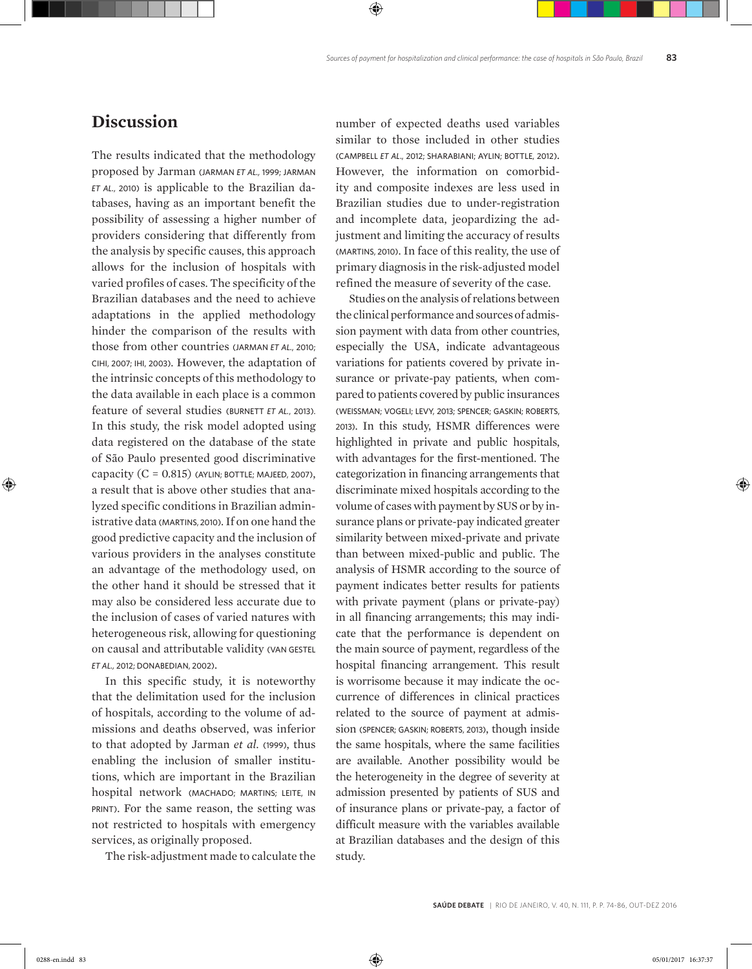### **Discussion**

The results indicated that the methodology proposed by Jarman (JARMAN *et al.,* 1999; JARMAN *et al.*, 2010) is applicable to the Brazilian databases, having as an important benefit the possibility of assessing a higher number of providers considering that differently from the analysis by specific causes, this approach allows for the inclusion of hospitals with varied profiles of cases. The specificity of the Brazilian databases and the need to achieve adaptations in the applied methodology hinder the comparison of the results with those from other countries (JARMAN *et al.*, 2010; CIHI, 2007; IHI, 2003). However, the adaptation of the intrinsic concepts of this methodology to the data available in each place is a common feature of several studies (BURNETT *et al.*, 2013). In this study, the risk model adopted using data registered on the database of the state of São Paulo presented good discriminative capacity  $(C = 0.815)$  (AYLIN; BOTTLE; MAJEED, 2007), a result that is above other studies that analyzed specific conditions in Brazilian administrative data (MARTINS, 2010). If on one hand the good predictive capacity and the inclusion of various providers in the analyses constitute an advantage of the methodology used, on the other hand it should be stressed that it may also be considered less accurate due to the inclusion of cases of varied natures with heterogeneous risk, allowing for questioning on causal and attributable validity (VAN GESTEL *et al.,* 2012; DONABEDIAN, 2002).

In this specific study, it is noteworthy that the delimitation used for the inclusion of hospitals, according to the volume of admissions and deaths observed, was inferior to that adopted by Jarman *et al.* (1999), thus enabling the inclusion of smaller institutions, which are important in the Brazilian hospital network (MACHADO; MARTINS; LEITE, in print). For the same reason, the setting was not restricted to hospitals with emergency services, as originally proposed.

The risk-adjustment made to calculate the

number of expected deaths used variables similar to those included in other studies (CAMPBELL *et al*., 2012; SHARABIANI; AYLIN; BOTTLE, 2012). However, the information on comorbidity and composite indexes are less used in Brazilian studies due to under-registration and incomplete data, jeopardizing the adjustment and limiting the accuracy of results (MARTINS, 2010). In face of this reality, the use of primary diagnosis in the risk-adjusted model refined the measure of severity of the case.

Studies on the analysis of relations between the clinical performance and sources of admission payment with data from other countries, especially the USA, indicate advantageous variations for patients covered by private insurance or private-pay patients, when compared to patients covered by public insurances (WEISSMAN; VOGELI; LEVY, 2013; SPENCER; GASKIN; ROBERTS, 2013). In this study, HSMR differences were highlighted in private and public hospitals, with advantages for the first-mentioned. The categorization in financing arrangements that discriminate mixed hospitals according to the volume of cases with payment by SUS or by insurance plans or private-pay indicated greater similarity between mixed-private and private than between mixed-public and public. The analysis of HSMR according to the source of payment indicates better results for patients with private payment (plans or private-pay) in all financing arrangements; this may indicate that the performance is dependent on the main source of payment, regardless of the hospital financing arrangement. This result is worrisome because it may indicate the occurrence of differences in clinical practices related to the source of payment at admission (SPENCER; GASKIN; ROBERTS, 2013), though inside the same hospitals, where the same facilities are available. Another possibility would be the heterogeneity in the degree of severity at admission presented by patients of SUS and of insurance plans or private-pay, a factor of difficult measure with the variables available at Brazilian databases and the design of this study.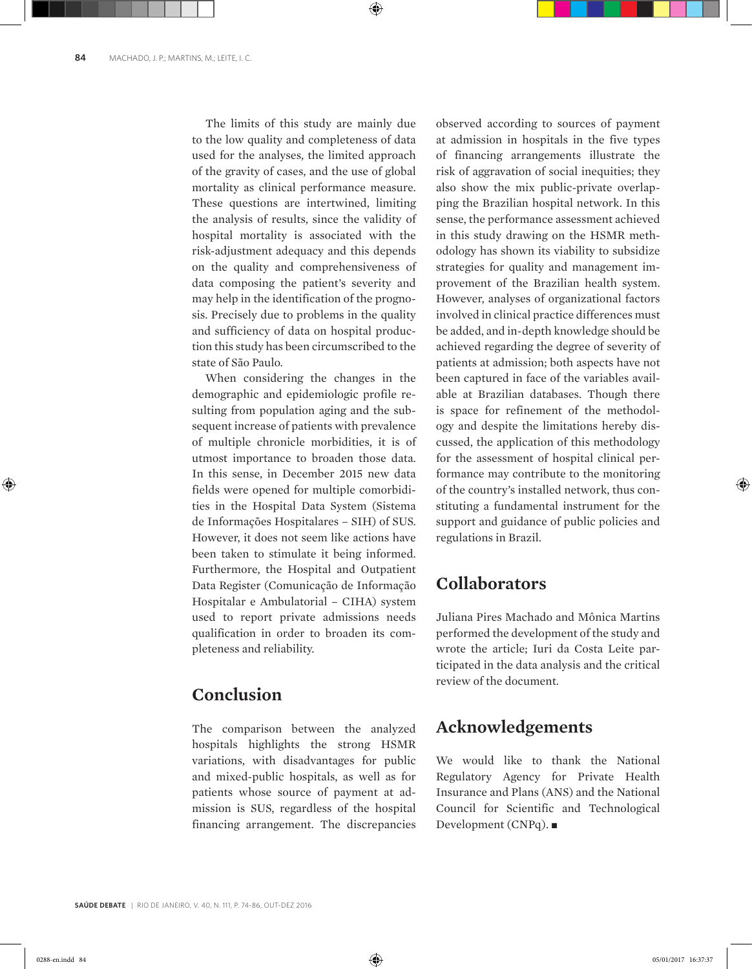The limits of this study are mainly due to the low quality and completeness of data used for the analyses, the limited approach of the gravity of cases, and the use of global mortality as clinical performance measure. These questions are intertwined, limiting the analysis of results, since the validity of hospital mortality is associated with the risk-adjustment adequacy and this depends on the quality and comprehensiveness of data composing the patient's severity and may help in the identification of the prognosis. Precisely due to problems in the quality and sufficiency of data on hospital production this study has been circumscribed to the state of São Paulo.

When considering the changes in the demographic and epidemiologic profile resulting from population aging and the subsequent increase of patients with prevalence of multiple chronicle morbidities, it is of utmost importance to broaden those data. In this sense, in December 2015 new data fields were opened for multiple comorbidities in the Hospital Data System (Sistema de Informações Hospitalares – SIH) of SUS. However, it does not seem like actions have been taken to stimulate it being informed. Furthermore, the Hospital and Outpatient Data Register (Comunicação de Informação Hospitalar e Ambulatorial – CIHA) system used to report private admissions needs qualification in order to broaden its completeness and reliability.

## **Conclusion**

The comparison between the analyzed hospitals highlights the strong HSMR variations, with disadvantages for public and mixed-public hospitals, as well as for patients whose source of payment at admission is SUS, regardless of the hospital financing arrangement. The discrepancies observed according to sources of payment at admission in hospitals in the five types of financing arrangements illustrate the risk of aggravation of social inequities; they also show the mix public-private overlapping the Brazilian hospital network. In this sense, the performance assessment achieved in this study drawing on the HSMR methodology has shown its viability to subsidize strategies for quality and management improvement of the Brazilian health system. However, analyses of organizational factors involved in clinical practice differences must be added, and in-depth knowledge should be achieved regarding the degree of severity of patients at admission; both aspects have not been captured in face of the variables available at Brazilian databases. Though there is space for refinement of the methodology and despite the limitations hereby discussed, the application of this methodology for the assessment of hospital clinical performance may contribute to the monitoring of the country's installed network, thus constituting a fundamental instrument for the support and guidance of public policies and regulations in Brazil.

### **Collaborators**

Juliana Pires Machado and Mônica Martins performed the development of the study and wrote the article; Iuri da Costa Leite participated in the data analysis and the critical review of the document.

### **Acknowledgements**

We would like to thank the National Regulatory Agency for Private Health Insurance and Plans (ANS) and the National Council for Scientific and Technological Development (CNPq).  $\blacksquare$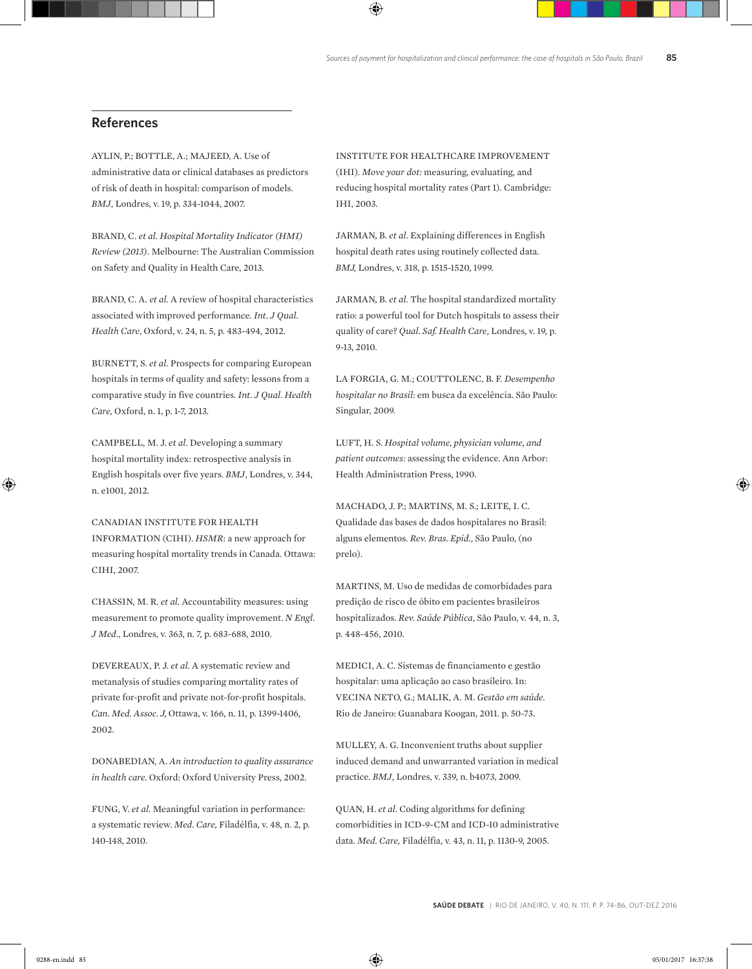#### **References**

AYLIN, P.; BOTTLE, A.; MAJEED, A. Use of administrative data or clinical databases as predictors of risk of death in hospital: comparison of models. *BMJ*, Londres, v. 19, p. 334-1044, 2007.

BRAND, C. *et al*. *Hospital Mortality Indicator (HMI) Review (2013).* Melbourne: The Australian Commission on Safety and Quality in Health Care, 2013.

BRAND, C. A. *et al*. A review of hospital characteristics associated with improved performance. *Int. J Qual. Health Care*, Oxford, v. 24, n. 5, p. 483-494, 2012.

BURNETT, S. *et al.* Prospects for comparing European hospitals in terms of quality and safety: lessons from a comparative study in five countries. *Int. J Qual. Health Care,* Oxford, n. 1, p. 1-7, 2013.

CAMPBELL, M. J. *et al*. Developing a summary hospital mortality index: retrospective analysis in English hospitals over five years. *BMJ*, Londres, v. 344, n. e1001, 2012.

#### CANADIAN INSTITUTE FOR HEALTH

INFORMATION (CIHI). *HSMR*: a new approach for measuring hospital mortality trends in Canada. Ottawa: CIHI, 2007.

CHASSIN, M. R. *et al.* Accountability measures: using measurement to promote quality improvement. *N Engl. J Med.*, Londres, v. 363, n. 7, p. 683-688, 2010.

DEVEREAUX, P. J. *et al*. A systematic review and metanalysis of studies comparing mortality rates of private for-profit and private not-for-profit hospitals. *Can. Med. Assoc. J,* Ottawa, v. 166, n. 11, p. 1399-1406, 2002.

DONABEDIAN, A. *An introduction to quality assurance in health care.* Oxford: Oxford University Press, 2002.

FUNG, V. *et al.* Meaningful variation in performance: a systematic review. *Med. Care,* Filadélfia, v. 48, n. 2, p. 140-148, 2010.

INSTITUTE FOR HEALTHCARE IMPROVEMENT (IHI). *Move your dot:* measuring, evaluating, and reducing hospital mortality rates (Part 1). Cambridge: IHI, 2003.

JARMAN, B. *et al*. Explaining differences in English hospital death rates using routinely collected data. *BMJ,* Londres, v. 318, p. 1515-1520, 1999.

JARMAN, B. *et al.* The hospital standardized mortality ratio: a powerful tool for Dutch hospitals to assess their quality of care? *Qual. Saf. Health Care*, Londres, v. 19, p. 9-13, 2010.

LA FORGIA, G. M.; COUTTOLENC, B. F. *Desempenho hospitalar no Brasil*: em busca da excelência. São Paulo: Singular, 2009.

LUFT, H. S. *Hospital volume, physician volume, and patient outcomes:* assessing the evidence. Ann Arbor: Health Administration Press, 1990.

MACHADO, J. P.; MARTINS, M. S.; LEITE, I. C. Qualidade das bases de dados hospitalares no Brasil: alguns elementos. *Rev. Bras. Epid.*, São Paulo, (no prelo).

MARTINS, M. Uso de medidas de comorbidades para predição de risco de óbito em pacientes brasileiros hospitalizados. *Rev. Saúde Pública*, São Paulo, v. 44, n. 3, p. 448-456, 2010.

MEDICI, A. C. Sistemas de financiamento e gestão hospitalar: uma aplicação ao caso brasileiro. In: VECINA NETO, G.; MALIK, A. M. *Gestão em saúde.*  Rio de Janeiro: Guanabara Koogan, 2011. p. 50-73.

MULLEY, A. G. Inconvenient truths about supplier induced demand and unwarranted variation in medical practice. *BMJ*, Londres, v. 339, n. b4073, 2009.

QUAN, H. *et al.* Coding algorithms for defining comorbidities in ICD-9-CM and ICD-10 administrative data. *Med. Care,* Filadélfia, v. 43, n. 11, p. 1130-9, 2005.